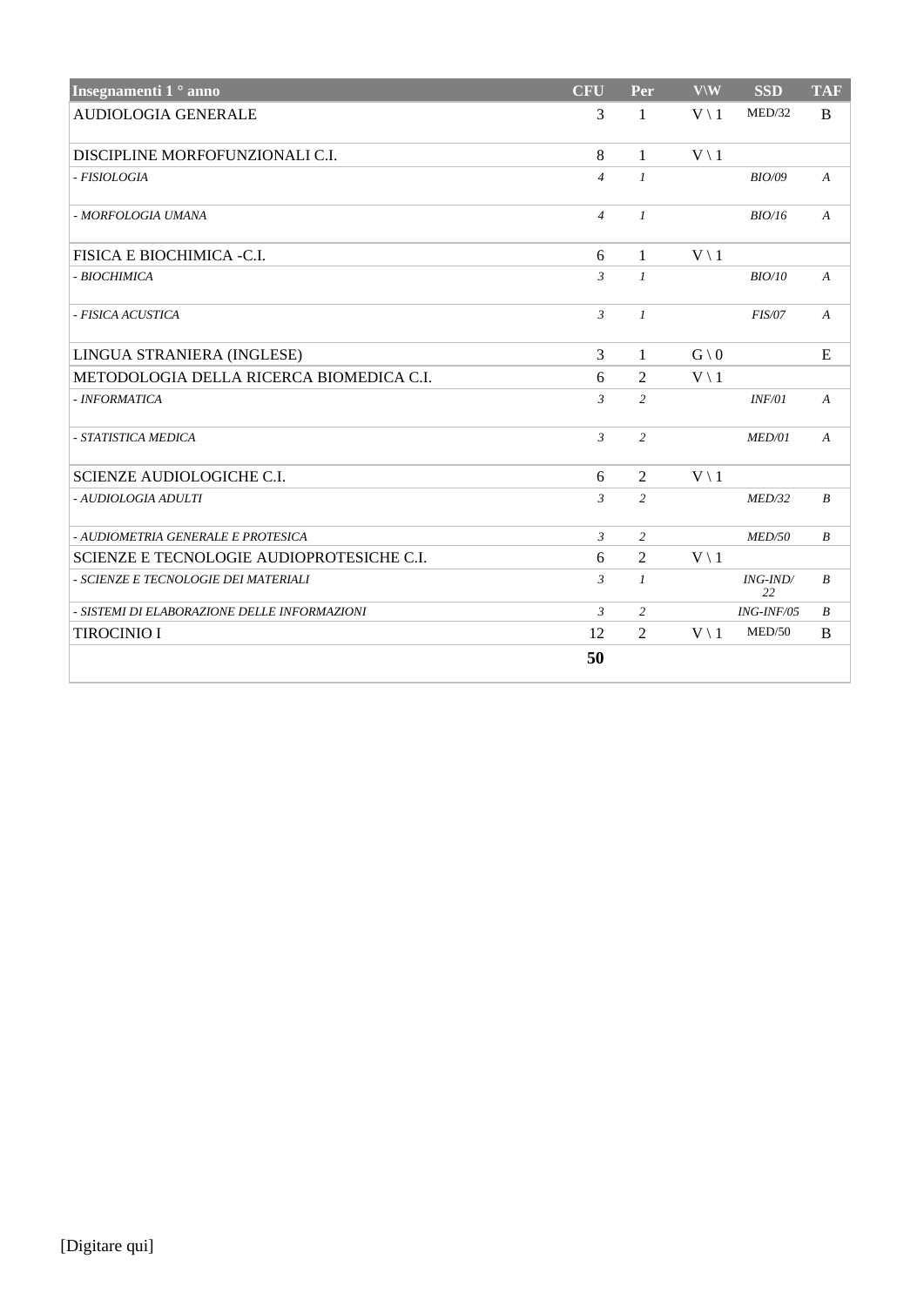| Insegnamenti 1 <sup>°</sup> anno             | <b>CFU</b>     | Per              | $V \backslash W$ | <b>SSD</b>     | <b>TAF</b>       |
|----------------------------------------------|----------------|------------------|------------------|----------------|------------------|
| <b>AUDIOLOGIA GENERALE</b>                   | 3              | 1                | $V \setminus 1$  | MED/32         | B                |
| DISCIPLINE MORFOFUNZIONALI C.I.              | 8              | 1                | $V \setminus 1$  |                |                  |
| - FISIOLOGIA                                 | $\overline{4}$ | $\mathcal{I}$    |                  | <b>BIO/09</b>  | $\boldsymbol{A}$ |
| - MORFOLOGIA UMANA                           | $\overline{4}$ | $\mathcal{I}$    |                  | BIO/16         | $\boldsymbol{A}$ |
| FISICA E BIOCHIMICA -C.I.                    | 6              | $\mathbf{1}$     | $V \setminus 1$  |                |                  |
| - BIOCHIMICA                                 | $\mathfrak{Z}$ | $\mathcal{I}$    |                  | BIO/10         | $\boldsymbol{A}$ |
| - FISICA ACUSTICA                            | $\mathfrak{Z}$ | $\mathcal{I}$    |                  | <b>FIS/07</b>  | $\boldsymbol{A}$ |
| LINGUA STRANIERA (INGLESE)                   | $\overline{3}$ | 1                | $G \setminus 0$  |                | E                |
| METODOLOGIA DELLA RICERCA BIOMEDICA C.I.     | 6              | $\mathbf{2}$     | $V \setminus 1$  |                |                  |
| - INFORMATICA                                | $\mathfrak{Z}$ | 2                |                  | INF/01         | $\boldsymbol{A}$ |
| - STATISTICA MEDICA                          | $\mathfrak{Z}$ | 2                |                  | MED/01         | $\boldsymbol{A}$ |
| SCIENZE AUDIOLOGICHE C.I.                    | 6              | $\overline{2}$   | $V \setminus 1$  |                |                  |
| - AUDIOLOGIA ADULTI                          | $\mathfrak{Z}$ | 2                |                  | MED/32         | $\boldsymbol{B}$ |
| - AUDIOMETRIA GENERALE E PROTESICA           | $\mathfrak{Z}$ | 2                |                  | MED/50         | $\boldsymbol{B}$ |
| SCIENZE E TECNOLOGIE AUDIOPROTESICHE C.I.    | 6              | 2                | $V \setminus 1$  |                |                  |
| - SCIENZE E TECNOLOGIE DEI MATERIALI         | $\mathfrak{Z}$ | $\boldsymbol{l}$ |                  | ING-IND/<br>22 | $\boldsymbol{B}$ |
| - SISTEMI DI ELABORAZIONE DELLE INFORMAZIONI | $\mathfrak{Z}$ | 2                |                  | ING-INF/05     | $\boldsymbol{B}$ |
| <b>TIROCINIO I</b>                           | 12             | $\overline{2}$   | $V \setminus 1$  | MED/50         | B                |
|                                              | 50             |                  |                  |                |                  |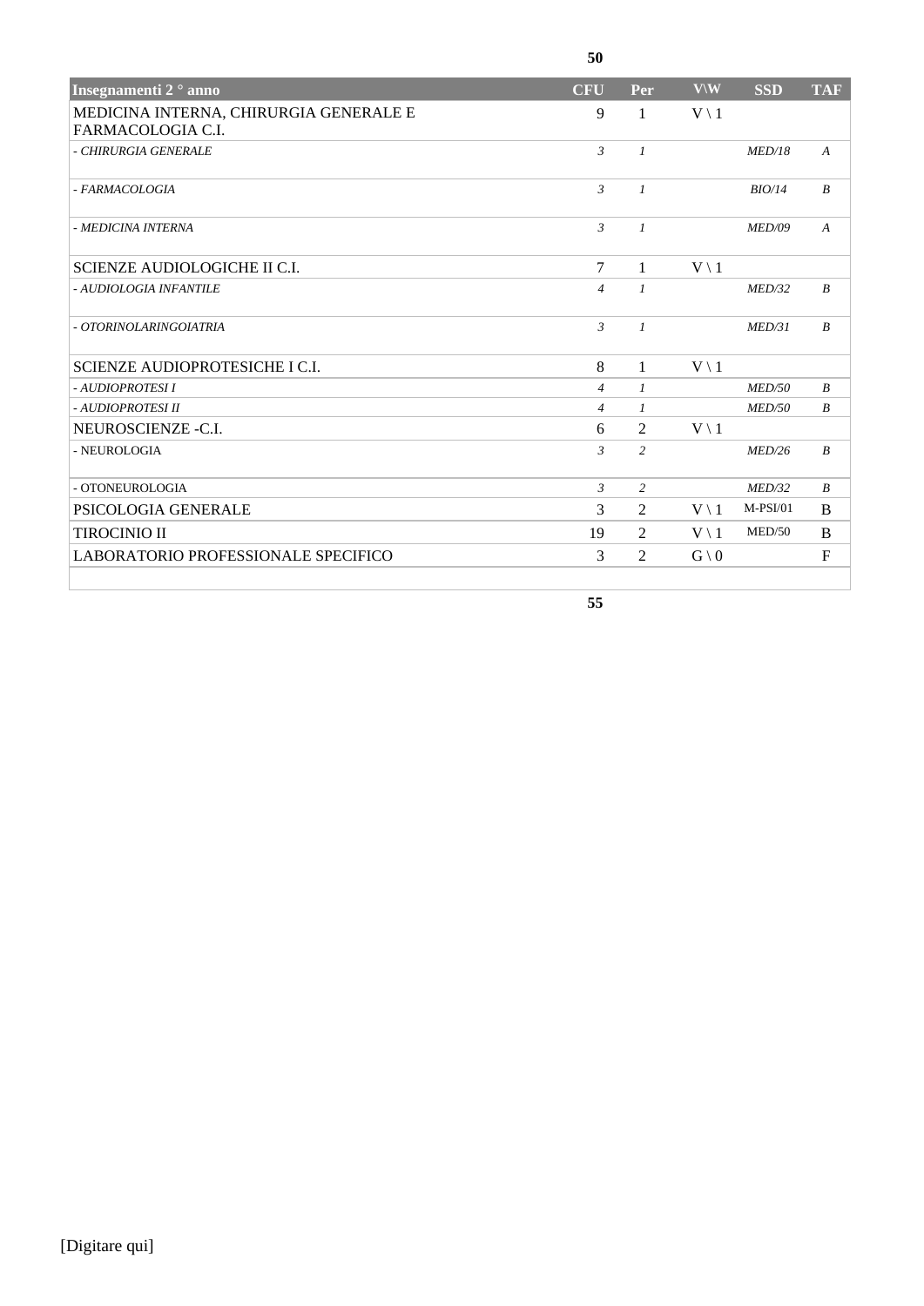| Insegnamenti 2 <sup>°</sup> anno                            | <b>CFU</b>     | Per            | $V \setminus W$ | <b>SSD</b>    | <b>TAF</b>       |
|-------------------------------------------------------------|----------------|----------------|-----------------|---------------|------------------|
| MEDICINA INTERNA, CHIRURGIA GENERALE E<br>FARMACOLOGIA C.I. | 9              | 1              | $V \setminus 1$ |               |                  |
| - CHIRURGIA GENERALE                                        | $\mathfrak{Z}$ | $\mathcal{I}$  |                 | MED/18        | $\boldsymbol{A}$ |
| - FARMACOLOGIA                                              | $\mathcal{E}$  | $\mathcal{I}$  |                 | BIO/14        | $\boldsymbol{B}$ |
| - MEDICINA INTERNA                                          | $\mathfrak{Z}$ | $\mathcal{I}$  |                 | MED/09        | $\boldsymbol{A}$ |
| <b>SCIENZE AUDIOLOGICHE II C.I.</b>                         | $\tau$         | $\mathbf{1}$   | $V \setminus 1$ |               |                  |
| - AUDIOLOGIA INFANTILE                                      | $\overline{4}$ | $\mathcal{I}$  |                 | MED/32        | $\boldsymbol{B}$ |
| - OTORINOLARINGOIATRIA                                      | $\mathfrak{Z}$ | $\mathcal{I}$  |                 | MED/31        | $\boldsymbol{B}$ |
| SCIENZE AUDIOPROTESICHE I C.I.                              | 8              | 1              | $V \setminus 1$ |               |                  |
| - AUDIOPROTESI I                                            | $\overline{4}$ | $\mathcal{I}$  |                 | MED/50        | $\boldsymbol{B}$ |
| - AUDIOPROTESI II                                           | $\overline{4}$ | $\mathcal{I}$  |                 | <i>MED/50</i> | $\boldsymbol{B}$ |
| NEUROSCIENZE -C.I.                                          | 6              | 2              | $V \setminus 1$ |               |                  |
| - NEUROLOGIA                                                | $\mathfrak{Z}$ | 2              |                 | MED/26        | $\boldsymbol{B}$ |
| - OTONEUROLOGIA                                             | $\mathfrak{Z}$ | $\overline{c}$ |                 | MED/32        | $\boldsymbol{B}$ |
| PSICOLOGIA GENERALE                                         | 3              | $\overline{2}$ | $V \setminus 1$ | $M-PSI/01$    | B                |
| <b>TIROCINIO II</b>                                         | 19             | $\overline{2}$ | $V \setminus 1$ | MED/50        | B                |
| LABORATORIO PROFESSIONALE SPECIFICO                         | 3              | 2              | $G \setminus 0$ |               | $\mathbf{F}$     |

**55**

**50**